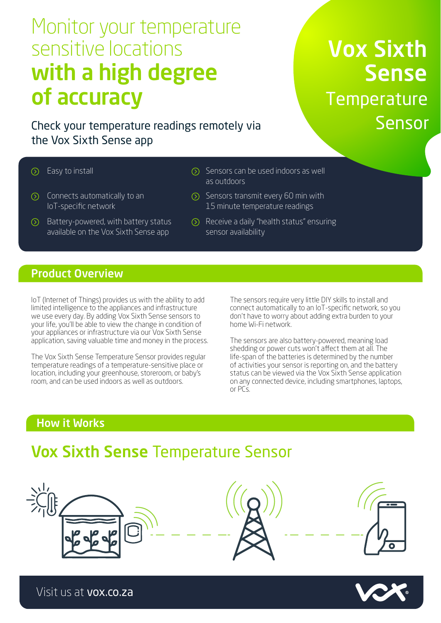# Monitor your temperature sensitive locations with a high degree of accuracy

Check your temperature readings remotely via the Vox Sixth Sense app

# Vox Sixth Sense **Temperature** Sensor

- 
- $\circled{)}$  Connects automatically to an IoT-specific network
- $\odot$  Battery-powered, with battery status available on the Vox Sixth Sense app
- $\circledR$  Easy to install Sensors can be used indoors as well as outdoors
	- $\odot$  Sensors transmit every 60 min with 15 minute temperature readings
	- Receive a daily "health status" ensuring sensor availability

### Product Overview

IoT (Internet of Things) provides us with the ability to add limited intelligence to the appliances and infrastructure we use every day. By adding Vox Sixth Sense sensors to your life, you'll be able to view the change in condition of your appliances or infrastructure via our Vox Sixth Sense application, saving valuable time and money in the process.

The Vox Sixth Sense Temperature Sensor provides regular temperature readings of a temperature-sensitive place or location, including your greenhouse, storeroom, or baby's room, and can be used indoors as well as outdoors.

The sensors require very little DIY skills to install and connect automatically to an IoT-specific network, so you don't have to worry about adding extra burden to your home Wi-Fi network.

The sensors are also battery-powered, meaning load shedding or power cuts won't affect them at all. The life-span of the batteries is determined by the number of activities your sensor is reporting on, and the battery status can be viewed via the Vox Sixth Sense application on any connected device, including smartphones, laptops, or PCs.

## How it Works

# Vox Sixth Sense Temperature Sensor





Visit us at vox.co.za